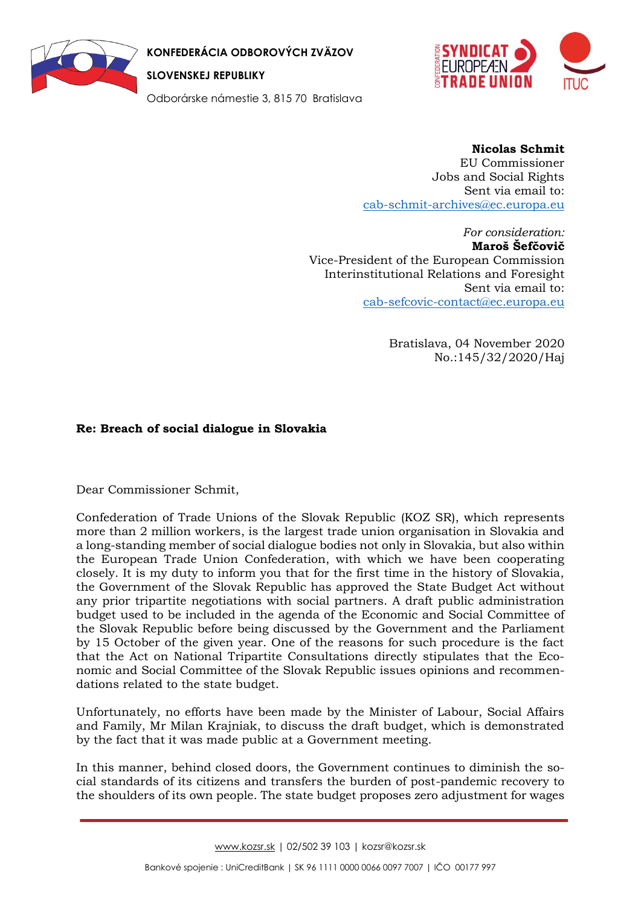

**KONFEDERÁCIA ODBOROVÝCH ZVÄZOV** 

**SLOVENSKEJ REPUBLIKY**

Odborárske námestie 3, 815 70 Bratislava



## **Nicolas Schmit**

EU Commissioner Jobs and Social Rights Sent via email to: [cab-schmit-archives@ec.europa.eu](mailto:CAB-SCHMIT-ARCHIVES@ec.europa.eu)

*For consideration:*  **Maroš Šefčovič** Vice-President of the European Commission Interinstitutional Relations and Foresight Sent via email to: [cab-sefcovic-contact@ec.europa.eu](mailto:cab-sefcovic-contact@ec.europa.eu)

> Bratislava, 04 November 2020 No.:145/32/2020/Haj

## **Re: Breach of social dialogue in Slovakia**

Dear Commissioner Schmit,

Confederation of Trade Unions of the Slovak Republic (KOZ SR), which represents more than 2 million workers, is the largest trade union organisation in Slovakia and a long-standing member of social dialogue bodies not only in Slovakia, but also within the European Trade Union Confederation, with which we have been cooperating closely. It is my duty to inform you that for the first time in the history of Slovakia, the Government of the Slovak Republic has approved the State Budget Act without any prior tripartite negotiations with social partners. A draft public administration budget used to be included in the agenda of the Economic and Social Committee of the Slovak Republic before being discussed by the Government and the Parliament by 15 October of the given year. One of the reasons for such procedure is the fact that the Act on National Tripartite Consultations directly stipulates that the Economic and Social Committee of the Slovak Republic issues opinions and recommendations related to the state budget.

Unfortunately, no efforts have been made by the Minister of Labour, Social Affairs and Family, Mr Milan Krajniak, to discuss the draft budget, which is demonstrated by the fact that it was made public at a Government meeting.

In this manner, behind closed doors, the Government continues to diminish the social standards of its citizens and transfers the burden of post-pandemic recovery to the shoulders of its own people. The state budget proposes zero adjustment for wages

[www.kozsr.sk](http://www.kozsr.sk/) | 02/502 39 103 | kozsr@kozsr.sk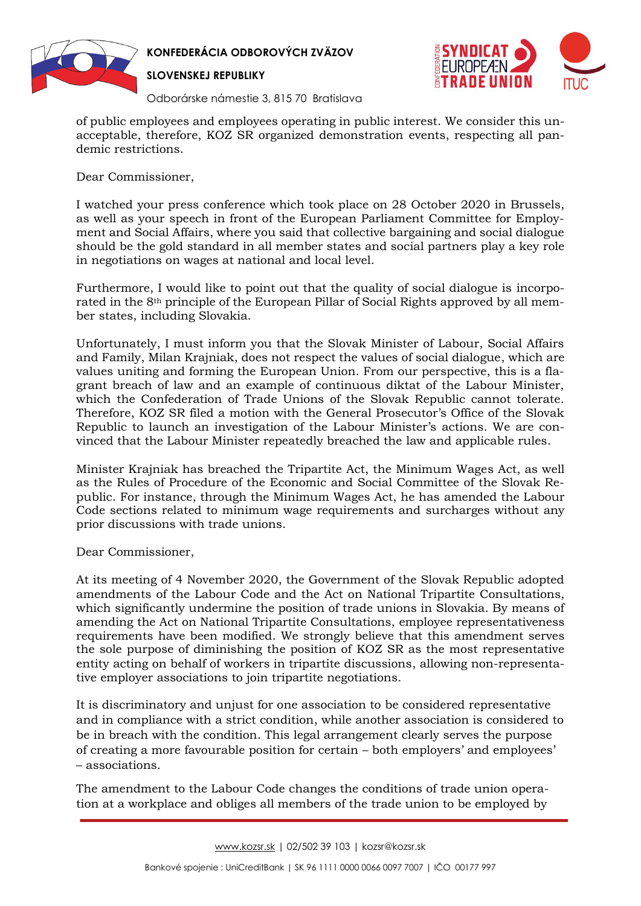

**KONFEDERÁCIA ODBOROVÝCH ZVÄZOV** 

**SLOVENSKEJ REPUBLIKY**



Odborárske námestie 3, 815 70 Bratislava

of public employees and employees operating in public interest. We consider this unacceptable, therefore, KOZ SR organized demonstration events, respecting all pandemic restrictions.

Dear Commissioner,

I watched your press conference which took place on 28 October 2020 in Brussels, as well as your speech in front of the European Parliament Committee for Employment and Social Affairs, where you said that collective bargaining and social dialogue should be the gold standard in all member states and social partners play a key role in negotiations on wages at national and local level.

Furthermore, I would like to point out that the quality of social dialogue is incorporated in the 8th principle of the European Pillar of Social Rights approved by all member states, including Slovakia.

Unfortunately, I must inform you that the Slovak Minister of Labour, Social Affairs and Family, Milan Krajniak, does not respect the values of social dialogue, which are values uniting and forming the European Union. From our perspective, this is a flagrant breach of law and an example of continuous diktat of the Labour Minister, which the Confederation of Trade Unions of the Slovak Republic cannot tolerate. Therefore, KOZ SR filed a motion with the General Prosecutor's Office of the Slovak Republic to launch an investigation of the Labour Minister's actions. We are convinced that the Labour Minister repeatedly breached the law and applicable rules.

Minister Krajniak has breached the Tripartite Act, the Minimum Wages Act, as well as the Rules of Procedure of the Economic and Social Committee of the Slovak Republic. For instance, through the Minimum Wages Act, he has amended the Labour Code sections related to minimum wage requirements and surcharges without any prior discussions with trade unions.

Dear Commissioner,

At its meeting of 4 November 2020, the Government of the Slovak Republic adopted amendments of the Labour Code and the Act on National Tripartite Consultations, which significantly undermine the position of trade unions in Slovakia. By means of amending the Act on National Tripartite Consultations, employee representativeness requirements have been modified. We strongly believe that this amendment serves the sole purpose of diminishing the position of KOZ SR as the most representative entity acting on behalf of workers in tripartite discussions, allowing non-representative employer associations to join tripartite negotiations.

It is discriminatory and unjust for one association to be considered representative and in compliance with a strict condition, while another association is considered to be in breach with the condition. This legal arrangement clearly serves the purpose of creating a more favourable position for certain – both employers' and employees' – associations.

The amendment to the Labour Code changes the conditions of trade union operation at a workplace and obliges all members of the trade union to be employed by